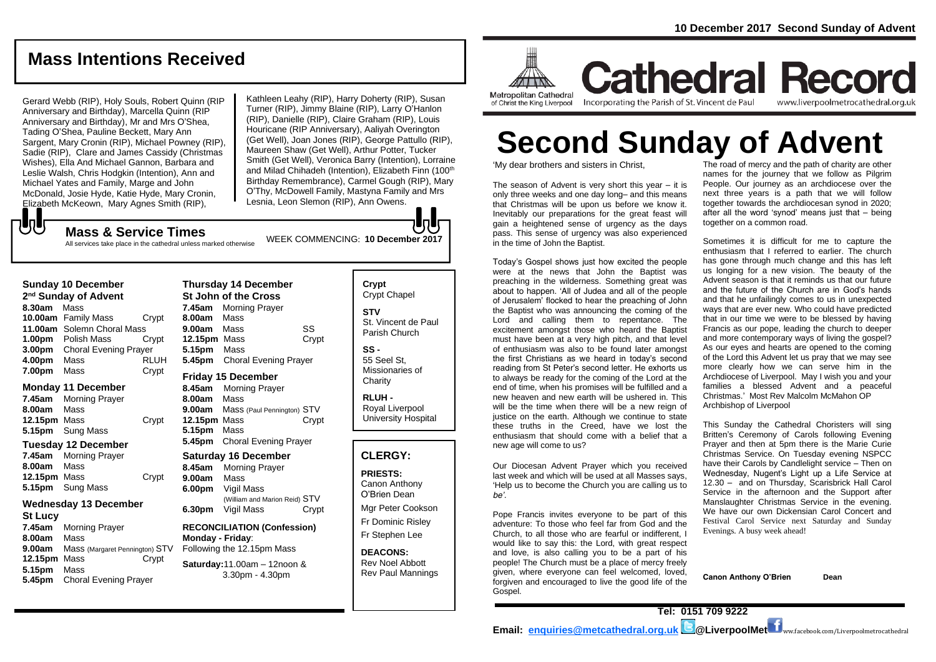## **Mass Intentions Received**

Gerard Webb (RIP), Holy Souls, Robert Quinn (RIP Anniversary and Birthday), Marcella Quinn (RIP Anniversary and Birthday), Mr and Mrs O'Shea, Tading O'Shea, Pauline Beckett, Mary Ann Sargent, Mary Cronin (RIP), Michael Powney (RIP), Sadie (RIP), Clare and James Cassidy (Christmas Wishes), Ella And Michael Gannon, Barbara and Leslie Walsh, Chris Hodgkin (Intention), Ann and Michael Yates and Family, Marge and John McDonald, Josie Hyde, Katie Hyde, Mary Cronin, Elizabeth McKeown, Mary Agnes Smith (RIP),

Kathleen Leahy (RIP), Harry Doherty (RIP), Susan Turner (RIP), Jimmy Blaine (RIP), Larry O'Hanlon (RIP), Danielle (RIP), Claire Graham (RIP), Louis Houricane (RIP Anniversary), Aaliyah Overington (Get Well), Joan Jones (RIP), George Pattullo (RIP), Maureen Shaw (Get Well), Arthur Potter, Tucker Smith (Get Well), Veronica Barry (Intention), Lorraine and Milad Chihadeh (Intention), Elizabeth Finn (100<sup>th</sup> Birthday Remembrance), Carmel Gough (RIP), Mary O'Thy, McDowell Family, Mastyna Family and Mrs Lesnia, Leon Slemon (RIP), Ann Owens.

もし

WEEK COMMENCING: **<sup>10</sup> December <sup>2017</sup> Mass & Service Times** All services take place in the cathedral unless marked otherwise

#### **Sunday 10 December**

**2 nd Sunday of Advent 8.30am** Mass **10.00am** Family Mass Crypt **11.00am** Solemn Choral Mass **1.00pm** Polish Mass Crypt **3.00pm** Choral Evening Prayer **4.00pm** Mass RLUH **7.00pm** Mass Crypt

#### **Monday 11 December**

**7.45am** Morning Prayer **8.00am** Mass **12.15pm** Mass Crypt **5.15pm** Sung Mass

#### **Tuesday 12 December**

**7.45am** Morning Prayer **8.00am** Mass 12.15pm Mass **Crypt 5.15pm** Sung Mass

#### **Wednesday 13 December**

- **St Lucy**
- **7.45am** Morning Prayer **8.00am** Mass **9.00am** Mass (Margaret Pennington) STV **12.15pm** Mass Crypt **5.15pm** Mass **5.45pm** Choral Evening Prayer

**Thursday 14 December St John of the Cross 7.45am** Morning Prayer **8.00am** Mass **9.00am** Mass SS **12.15pm** Mass Crypt **5.15pm** Mass **5.45pm** Choral Evening Prayer

## **Friday 15 December**

**8.45am** Morning Prayer **8.00am** Mass **9.00am** Mass (Paul Pennington) STV **12.15pm** Mass Crypt **5.15pm** Mass **5.45pm** Choral Evening Prayer

#### **Saturday 16 December**

**8.45am** Morning Prayer **9.00am** Mass **6.00pm** Vigil Mass (William and Marion Reid) STV **6.30pm** Vigil Mass Crypt

#### **RECONCILIATION (Confession) Monday - Friday**: Following the 12.15pm Mass

## **Saturday:**11.00am – 12noon & 3.30pm - 4.30pm

**Crypt**  Crypt Chapel **STV** St. Vincent de Paul Parish Church

**SS -** 55 Seel St, Missionaries of **Charity** 

**RLUH -** Royal Liverpool University Hospital

## **CLERGY:**

**PRIESTS:** Canon Anthony O'Brien *Dean*

Mgr Peter Cookson

Fr Dominic Risley Fr Stephen Lee

**DEACONS:** Rev Noel Abbott Rev Paul Mannings



**Cathedral Record** Incorporating the Parish of St. Vincent de Paul www.liverpoolmetrocathedral.org.uk

# **Second Sunday of Advent**

'My dear brothers and sisters in Christ,

The season of Advent is very short this year – it is only three weeks and one day long– and this means that Christmas will be upon us before we know it. Inevitably our preparations for the great feast will gain a heightened sense of urgency as the days pass. This sense of urgency was also experienced in the time of John the Baptist.

Today's Gospel shows just how excited the people were at the news that John the Baptist was preaching in the wilderness. Something great was about to happen. 'All of Judea and all of the people of Jerusalem' flocked to hear the preaching of John the Baptist who was announcing the coming of the Lord and calling them to repentance. The excitement amongst those who heard the Baptist must have been at a very high pitch, and that level of enthusiasm was also to be found later amongst the first Christians as we heard in today's second reading from St Peter's second letter. He exhorts us to always be ready for the coming of the Lord at the end of time, when his promises will be fulfilled and a new heaven and new earth will be ushered in. This will be the time when there will be a new reign of justice on the earth. Although we continue to state these truths in the Creed, have we lost the enthusiasm that should come with a belief that a new age will come to us?

Our Diocesan Advent Prayer which you received last week and which will be used at all Masses says, '*Help us to become the Church you are calling us to be'.* 

Pope Francis invites everyone to be part of this adventure: *To those who feel far from God and the Church, to all those who are fearful or indifferent, I would like to say this: the Lord, with great respect and love, is also calling you to be a part of his people! The Church must be a place of mercy freely given, where everyone can feel welcomed, loved, forgiven and encouraged to live the good life of the Gospel.*

The road of mercy and the path of charity are other names for the journey that we follow as Pilgrim People. Our journey as an archdiocese over the next three years is a path that we will follow together towards the archdiocesan synod in 2020; after all the word 'synod' means just that – being together on a common road.

Sometimes it is difficult for me to capture the enthusiasm that I referred to earlier. The church has gone through much change and this has left us longing for a new vision. The beauty of the Advent season is that it reminds us that our future and the future of the Church are in God's hands and that he unfailingly comes to us in unexpected ways that are ever new. Who could have predicted that in our time we were to be blessed by having Francis as our pope, leading the church to deeper and more contemporary ways of living the gospel? As our eyes and hearts are opened to the coming of the Lord this Advent let us pray that we may see more clearly how we can serve him in the Archdiocese of Liverpool. May I wish you and your families a blessed Advent and a peaceful Christmas.' Most Rev Malcolm McMahon OP Archbishop of Liverpool

This Sunday the Cathedral Choristers will sing Britten's Ceremony of Carols following Evening Prayer and then at 5pm there is the Marie Curie Christmas Service. On Tuesday evening NSPCC have their Carols by Candlelight service – Then on Wednesday, Nugent's Light up a Life Service at 12.30 – and on Thursday, Scarisbrick Hall Carol Service in the afternoon and the Support after Manslaughter Christmas Service in the evening. We have our own Dickensian Carol Concert and Festival Carol Service next Saturday and Sunday Evenings. A busy week ahead!

**Canon Anthony O'Brien Dean**